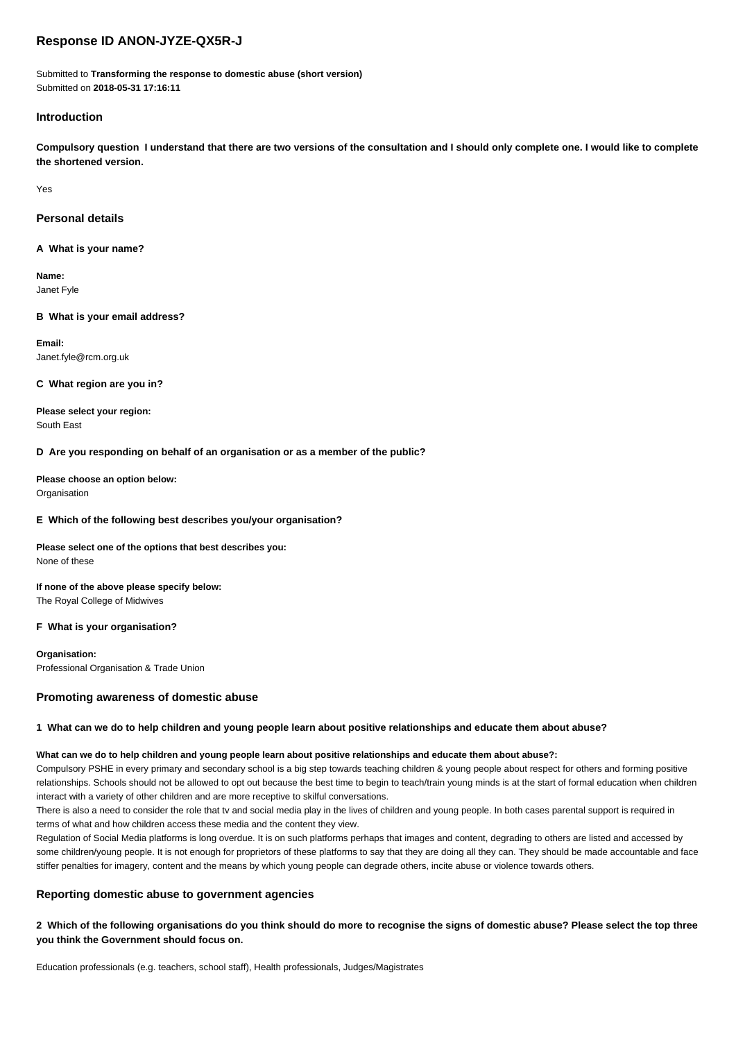# **Response ID ANON-JYZE-QX5R-J**

Submitted to **Transforming the response to domestic abuse (short version)** Submitted on **2018-05-31 17:16:11**

## **Introduction**

**Compulsory question I understand that there are two versions of the consultation and I should only complete one. I would like to complete the shortened version.**

Yes

### **Personal details**

**A What is your name?**

**Name:** Janet Fyle

### **B What is your email address?**

**Email:** Janet.fyle@rcm.org.uk

### **C What region are you in?**

**Please select your region:** South East

## **D Are you responding on behalf of an organisation or as a member of the public?**

**Please choose an option below:** Organisation

## **E Which of the following best describes you/your organisation?**

**Please select one of the options that best describes you:** None of these

**If none of the above please specify below:** The Royal College of Midwives

### **F What is your organisation?**

**Organisation:** Professional Organisation & Trade Union

### **Promoting awareness of domestic abuse**

### **1 What can we do to help children and young people learn about positive relationships and educate them about abuse?**

### **What can we do to help children and young people learn about positive relationships and educate them about abuse?:**

Compulsory PSHE in every primary and secondary school is a big step towards teaching children & young people about respect for others and forming positive relationships. Schools should not be allowed to opt out because the best time to begin to teach/train young minds is at the start of formal education when children interact with a variety of other children and are more receptive to skilful conversations.

There is also a need to consider the role that tv and social media play in the lives of children and young people. In both cases parental support is required in terms of what and how children access these media and the content they view.

Regulation of Social Media platforms is long overdue. It is on such platforms perhaps that images and content, degrading to others are listed and accessed by some children/young people. It is not enough for proprietors of these platforms to say that they are doing all they can. They should be made accountable and face stiffer penalties for imagery, content and the means by which young people can degrade others, incite abuse or violence towards others.

## **Reporting domestic abuse to government agencies**

**2 Which of the following organisations do you think should do more to recognise the signs of domestic abuse? Please select the top three you think the Government should focus on.**

Education professionals (e.g. teachers, school staff), Health professionals, Judges/Magistrates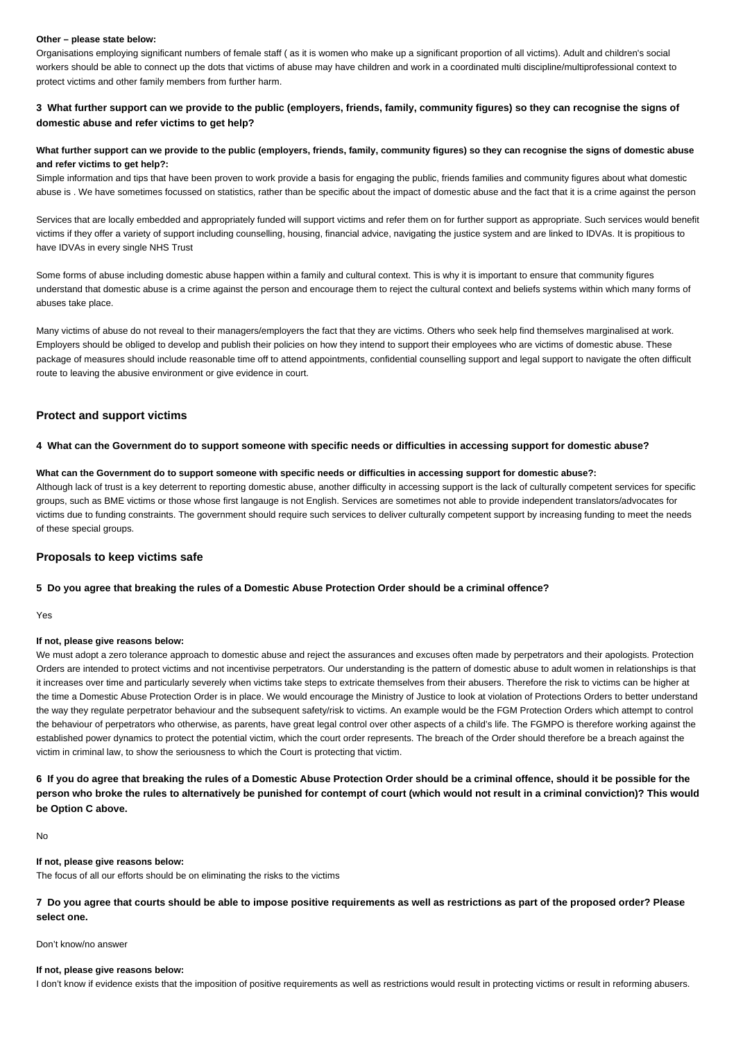#### **Other – please state below:**

Organisations employing significant numbers of female staff ( as it is women who make up a significant proportion of all victims). Adult and children's social workers should be able to connect up the dots that victims of abuse may have children and work in a coordinated multi discipline/multiprofessional context to protect victims and other family members from further harm.

## **3 What further support can we provide to the public (employers, friends, family, community figures) so they can recognise the signs of domestic abuse and refer victims to get help?**

### **What further support can we provide to the public (employers, friends, family, community figures) so they can recognise the signs of domestic abuse and refer victims to get help?:**

Simple information and tips that have been proven to work provide a basis for engaging the public, friends families and community figures about what domestic abuse is . We have sometimes focussed on statistics, rather than be specific about the impact of domestic abuse and the fact that it is a crime against the person

Services that are locally embedded and appropriately funded will support victims and refer them on for further support as appropriate. Such services would benefit victims if they offer a variety of support including counselling, housing, financial advice, navigating the justice system and are linked to IDVAs. It is propitious to have IDVAs in every single NHS Trust

Some forms of abuse including domestic abuse happen within a family and cultural context. This is why it is important to ensure that community figures understand that domestic abuse is a crime against the person and encourage them to reject the cultural context and beliefs systems within which many forms of abuses take place.

Many victims of abuse do not reveal to their managers/employers the fact that they are victims. Others who seek help find themselves marginalised at work. Employers should be obliged to develop and publish their policies on how they intend to support their employees who are victims of domestic abuse. These package of measures should include reasonable time off to attend appointments, confidential counselling support and legal support to navigate the often difficult route to leaving the abusive environment or give evidence in court.

### **Protect and support victims**

#### **4 What can the Government do to support someone with specific needs or difficulties in accessing support for domestic abuse?**

#### **What can the Government do to support someone with specific needs or difficulties in accessing support for domestic abuse?:**

Although lack of trust is a key deterrent to reporting domestic abuse, another difficulty in accessing support is the lack of culturally competent services for specific groups, such as BME victims or those whose first langauge is not English. Services are sometimes not able to provide independent translators/advocates for victims due to funding constraints. The government should require such services to deliver culturally competent support by increasing funding to meet the needs of these special groups.

### **Proposals to keep victims safe**

### **5 Do you agree that breaking the rules of a Domestic Abuse Protection Order should be a criminal offence?**

Yes

## **If not, please give reasons below:**

We must adopt a zero tolerance approach to domestic abuse and reject the assurances and excuses often made by perpetrators and their apologists. Protection Orders are intended to protect victims and not incentivise perpetrators. Our understanding is the pattern of domestic abuse to adult women in relationships is that it increases over time and particularly severely when victims take steps to extricate themselves from their abusers. Therefore the risk to victims can be higher at the time a Domestic Abuse Protection Order is in place. We would encourage the Ministry of Justice to look at violation of Protections Orders to better understand the way they regulate perpetrator behaviour and the subsequent safety/risk to victims. An example would be the FGM Protection Orders which attempt to control the behaviour of perpetrators who otherwise, as parents, have great legal control over other aspects of a child's life. The FGMPO is therefore working against the established power dynamics to protect the potential victim, which the court order represents. The breach of the Order should therefore be a breach against the victim in criminal law, to show the seriousness to which the Court is protecting that victim.

**6 If you do agree that breaking the rules of a Domestic Abuse Protection Order should be a criminal offence, should it be possible for the person who broke the rules to alternatively be punished for contempt of court (which would not result in a criminal conviction)? This would be Option C above.**

No

#### **If not, please give reasons below:**

The focus of all our efforts should be on eliminating the risks to the victims

**7 Do you agree that courts should be able to impose positive requirements as well as restrictions as part of the proposed order? Please select one.**

#### Don't know/no answer

#### **If not, please give reasons below:**

I don't know if evidence exists that the imposition of positive requirements as well as restrictions would result in protecting victims or result in reforming abusers.